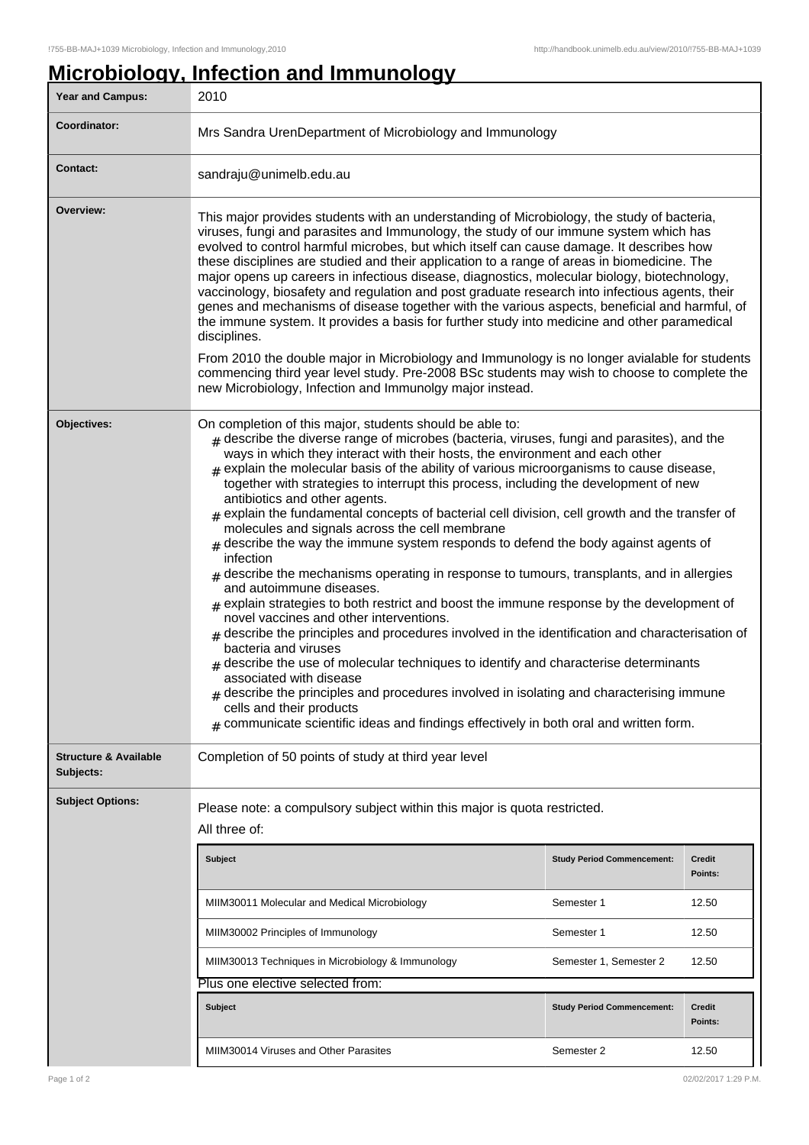## **Microbiology, Infection and Immunology**

| Year and Campus:                              | 2010                                                                                                                                                                                                                                                                                                                                                                                                                                                                                                                                                                                                                                                                                                                                                                                                                                                                                                                                                                                                                                                                                                                                                                                                                                                                                                                                                                                                                                                                                                         |                                   |                          |  |
|-----------------------------------------------|--------------------------------------------------------------------------------------------------------------------------------------------------------------------------------------------------------------------------------------------------------------------------------------------------------------------------------------------------------------------------------------------------------------------------------------------------------------------------------------------------------------------------------------------------------------------------------------------------------------------------------------------------------------------------------------------------------------------------------------------------------------------------------------------------------------------------------------------------------------------------------------------------------------------------------------------------------------------------------------------------------------------------------------------------------------------------------------------------------------------------------------------------------------------------------------------------------------------------------------------------------------------------------------------------------------------------------------------------------------------------------------------------------------------------------------------------------------------------------------------------------------|-----------------------------------|--------------------------|--|
| Coordinator:                                  | Mrs Sandra UrenDepartment of Microbiology and Immunology                                                                                                                                                                                                                                                                                                                                                                                                                                                                                                                                                                                                                                                                                                                                                                                                                                                                                                                                                                                                                                                                                                                                                                                                                                                                                                                                                                                                                                                     |                                   |                          |  |
| <b>Contact:</b>                               | sandraju@unimelb.edu.au                                                                                                                                                                                                                                                                                                                                                                                                                                                                                                                                                                                                                                                                                                                                                                                                                                                                                                                                                                                                                                                                                                                                                                                                                                                                                                                                                                                                                                                                                      |                                   |                          |  |
| Overview:                                     | This major provides students with an understanding of Microbiology, the study of bacteria,<br>viruses, fungi and parasites and Immunology, the study of our immune system which has<br>evolved to control harmful microbes, but which itself can cause damage. It describes how<br>these disciplines are studied and their application to a range of areas in biomedicine. The<br>major opens up careers in infectious disease, diagnostics, molecular biology, biotechnology,<br>vaccinology, biosafety and regulation and post graduate research into infectious agents, their<br>genes and mechanisms of disease together with the various aspects, beneficial and harmful, of<br>the immune system. It provides a basis for further study into medicine and other paramedical<br>disciplines.<br>From 2010 the double major in Microbiology and Immunology is no longer avialable for students<br>commencing third year level study. Pre-2008 BSc students may wish to choose to complete the<br>new Microbiology, Infection and Immunolgy major instead.                                                                                                                                                                                                                                                                                                                                                                                                                                                |                                   |                          |  |
| Objectives:                                   | On completion of this major, students should be able to:<br>$#$ describe the diverse range of microbes (bacteria, viruses, fungi and parasites), and the<br>ways in which they interact with their hosts, the environment and each other<br>$_{\text{\#}}$ explain the molecular basis of the ability of various microorganisms to cause disease,<br>together with strategies to interrupt this process, including the development of new<br>antibiotics and other agents.<br>$_{\#}$ explain the fundamental concepts of bacterial cell division, cell growth and the transfer of<br>molecules and signals across the cell membrane<br>$#$ describe the way the immune system responds to defend the body against agents of<br>infection<br>$#$ describe the mechanisms operating in response to tumours, transplants, and in allergies<br>and autoimmune diseases.<br>$_{\text{\#}}$ explain strategies to both restrict and boost the immune response by the development of<br>novel vaccines and other interventions.<br>$#$ describe the principles and procedures involved in the identification and characterisation of<br>bacteria and viruses<br>describe the use of molecular techniques to identify and characterise determinants<br>associated with disease<br>$_{\#}$ describe the principles and procedures involved in isolating and characterising immune<br>cells and their products<br>$_{\text{\#}}$ communicate scientific ideas and findings effectively in both oral and written form. |                                   |                          |  |
| <b>Structure &amp; Available</b><br>Subjects: | Completion of 50 points of study at third year level                                                                                                                                                                                                                                                                                                                                                                                                                                                                                                                                                                                                                                                                                                                                                                                                                                                                                                                                                                                                                                                                                                                                                                                                                                                                                                                                                                                                                                                         |                                   |                          |  |
| <b>Subject Options:</b>                       | Please note: a compulsory subject within this major is quota restricted.<br>All three of:                                                                                                                                                                                                                                                                                                                                                                                                                                                                                                                                                                                                                                                                                                                                                                                                                                                                                                                                                                                                                                                                                                                                                                                                                                                                                                                                                                                                                    |                                   |                          |  |
|                                               | <b>Subject</b>                                                                                                                                                                                                                                                                                                                                                                                                                                                                                                                                                                                                                                                                                                                                                                                                                                                                                                                                                                                                                                                                                                                                                                                                                                                                                                                                                                                                                                                                                               | <b>Study Period Commencement:</b> | <b>Credit</b><br>Points: |  |
|                                               | MIIM30011 Molecular and Medical Microbiology                                                                                                                                                                                                                                                                                                                                                                                                                                                                                                                                                                                                                                                                                                                                                                                                                                                                                                                                                                                                                                                                                                                                                                                                                                                                                                                                                                                                                                                                 | Semester 1                        | 12.50                    |  |
|                                               | MIIM30002 Principles of Immunology                                                                                                                                                                                                                                                                                                                                                                                                                                                                                                                                                                                                                                                                                                                                                                                                                                                                                                                                                                                                                                                                                                                                                                                                                                                                                                                                                                                                                                                                           | Semester 1                        | 12.50                    |  |
|                                               | MIIM30013 Techniques in Microbiology & Immunology                                                                                                                                                                                                                                                                                                                                                                                                                                                                                                                                                                                                                                                                                                                                                                                                                                                                                                                                                                                                                                                                                                                                                                                                                                                                                                                                                                                                                                                            | Semester 1, Semester 2            | 12.50                    |  |
|                                               | Plus one elective selected from:                                                                                                                                                                                                                                                                                                                                                                                                                                                                                                                                                                                                                                                                                                                                                                                                                                                                                                                                                                                                                                                                                                                                                                                                                                                                                                                                                                                                                                                                             |                                   |                          |  |
|                                               | <b>Subject</b>                                                                                                                                                                                                                                                                                                                                                                                                                                                                                                                                                                                                                                                                                                                                                                                                                                                                                                                                                                                                                                                                                                                                                                                                                                                                                                                                                                                                                                                                                               | <b>Study Period Commencement:</b> | <b>Credit</b><br>Points: |  |
|                                               | MIIM30014 Viruses and Other Parasites                                                                                                                                                                                                                                                                                                                                                                                                                                                                                                                                                                                                                                                                                                                                                                                                                                                                                                                                                                                                                                                                                                                                                                                                                                                                                                                                                                                                                                                                        | Semester 2                        | 12.50                    |  |